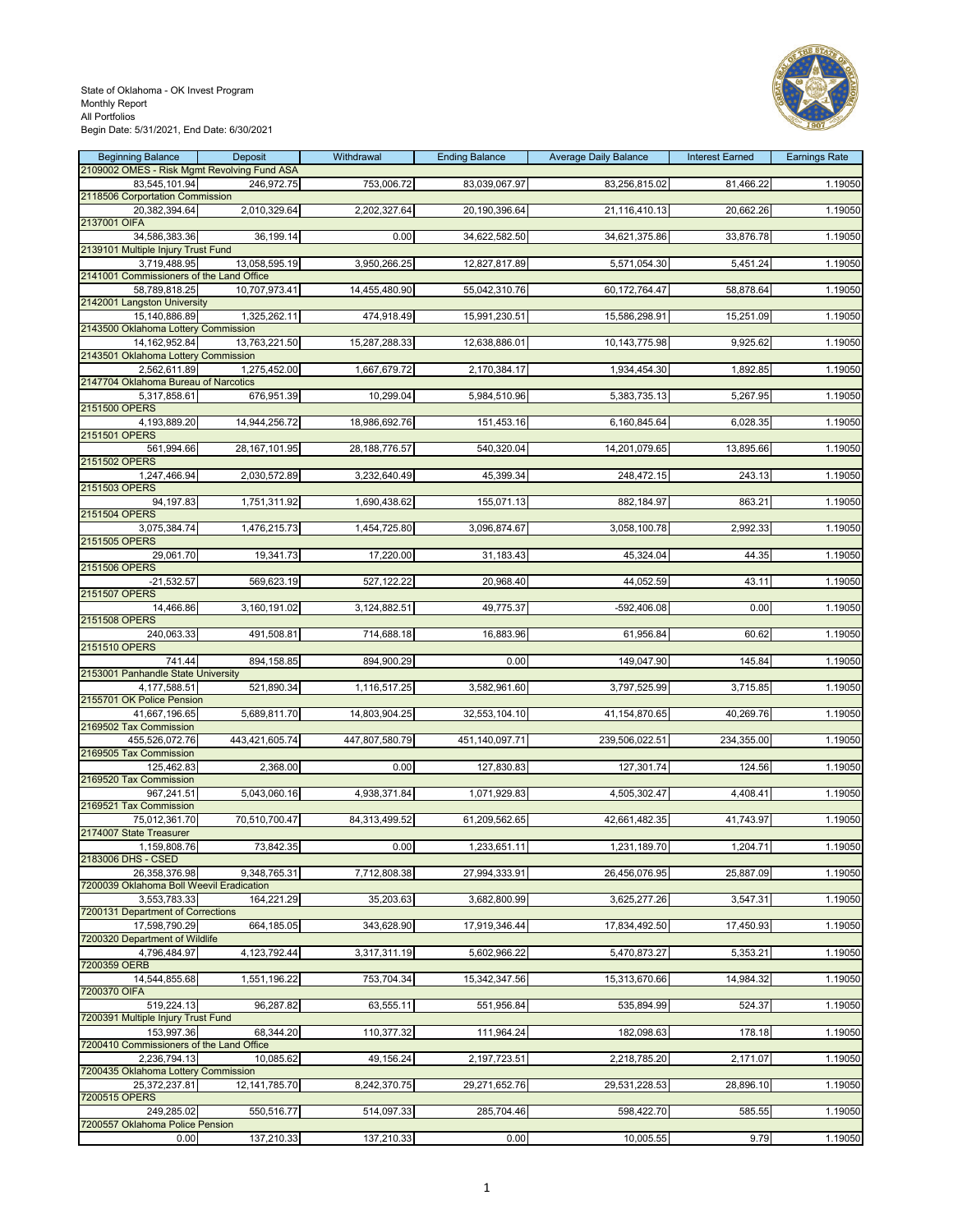#### State of Oklahoma - OK Invest Program Monthly Report All Portfolios Begin Date: 5/31/2021, End Date: 6/30/2021



| <b>Beginning Balance</b>                             | Deposit          | Withdrawal     | <b>Ending Balance</b> | <b>Average Daily Balance</b> | <b>Interest Earned</b> | <b>Earnings Rate</b> |
|------------------------------------------------------|------------------|----------------|-----------------------|------------------------------|------------------------|----------------------|
| 2109002 OMES - Risk Mgmt Revolving Fund ASA          |                  |                |                       |                              |                        |                      |
| 83,545,101.94<br>2118506 Corportation Commission     | 246,972.75       | 753,006.72     | 83,039,067.97         | 83,256,815.02                | 81,466.22              | 1.19050              |
| 20,382,394.64                                        | 2,010,329.64     | 2,202,327.64   | 20,190,396.64         | 21,116,410.13                | 20,662.26              | 1.19050              |
| 2137001 OIFA                                         |                  |                |                       |                              |                        |                      |
| 34,586,383.36                                        | 36,199.14        | 0.00           | 34,622,582.50         | 34,621,375.86                | 33,876.78              | 1.19050              |
| 2139101 Multiple Injury Trust Fund                   |                  |                |                       |                              |                        |                      |
| 3,719,488.95                                         | 13,058,595.19    | 3,950,266.25   | 12,827,817.89         | 5,571,054.30                 | 5,451.24               | 1.19050              |
| 2141001 Commissioners of the Land Office             |                  |                |                       |                              |                        |                      |
| 58,789,818.25                                        | 10,707,973.41    | 14,455,480.90  | 55,042,310.76         | 60,172,764.47                | 58,878.64              | 1.19050              |
| 2142001 Langston University                          |                  |                |                       |                              |                        |                      |
| 15,140,886.89<br>2143500 Oklahoma Lottery Commission | 1,325,262.11     | 474,918.49     | 15,991,230.51         | 15,586,298.91                | 15,251.09              | 1.19050              |
| 14, 162, 952.84                                      | 13,763,221.50    | 15,287,288.33  | 12,638,886.01         | 10,143,775.98                | 9,925.62               | 1.19050              |
| 2143501 Oklahoma Lottery Commission                  |                  |                |                       |                              |                        |                      |
| 2,562,611.89                                         | 1,275,452.00     | 1,667,679.72   | 2,170,384.17          | 1,934,454.30                 | 1,892.85               | 1.19050              |
| 2147704 Oklahoma Bureau of Narcotics                 |                  |                |                       |                              |                        |                      |
| 5,317,858.61                                         | 676,951.39       | 10,299.04      | 5,984,510.96          | 5,383,735.13                 | 5,267.95               | 1.19050              |
| 2151500 OPERS                                        |                  |                |                       |                              |                        |                      |
| 4,193,889.20                                         | 14,944,256.72    | 18,986,692.76  | 151,453.16            | 6,160,845.64                 | 6,028.35               | 1.19050              |
| 2151501 OPERS<br>561,994.66                          | 28, 167, 101.95  | 28,188,776.57  | 540,320.04            | 14,201,079.65                | 13,895.66              | 1.19050              |
| 2151502 OPERS                                        |                  |                |                       |                              |                        |                      |
| 1,247,466.94                                         | 2,030,572.89     | 3,232,640.49   | 45,399.34             | 248,472.15                   | 243.13                 | 1.19050              |
| 2151503 OPERS                                        |                  |                |                       |                              |                        |                      |
| 94,197.83                                            | 1,751,311.92     | 1,690,438.62   | 155,071.13            | 882,184.97                   | 863.21                 | 1.19050              |
| 2151504 OPERS                                        |                  |                |                       |                              |                        |                      |
| 3,075,384.74                                         | 1,476,215.73     | 1,454,725.80   | 3,096,874.67          | 3,058,100.78                 | 2,992.33               | 1.19050              |
| 2151505 OPERS                                        |                  |                |                       |                              |                        |                      |
| 29,061.70                                            | 19,341.73        | 17,220.00      | 31,183.43             | 45,324.04                    | 44.35                  | 1.19050              |
| 2151506 OPERS<br>$-21,532.57$                        | 569,623.19       | 527,122.22     | 20,968.40             | 44,052.59                    | 43.11                  | 1.19050              |
| 2151507 OPERS                                        |                  |                |                       |                              |                        |                      |
| 14,466.86                                            | 3,160,191.02     | 3,124,882.51   | 49,775.37             | -592,406.08                  | 0.00                   | 1.19050              |
| 2151508 OPERS                                        |                  |                |                       |                              |                        |                      |
| 240,063.33                                           | 491,508.81       | 714,688.18     | 16,883.96             | 61,956.84                    | 60.62                  | 1.19050              |
| 2151510 OPERS                                        |                  |                |                       |                              |                        |                      |
| 741.44                                               | 894,158.85       | 894,900.29     | 0.00                  | 149,047.90                   | 145.84                 | 1.19050              |
| 2153001 Panhandle State University                   |                  |                |                       |                              |                        |                      |
| 4,177,588.51<br>2155701 OK Police Pension            | 521,890.34       | 1,116,517.25   | 3,582,961.60          | 3,797,525.99                 | 3,715.85               | 1.19050              |
| 41,667,196.65                                        | 5,689,811.70     | 14,803,904.25  | 32,553,104.10         | 41,154,870.65                | 40,269.76              | 1.19050              |
| 2169502 Tax Commission                               |                  |                |                       |                              |                        |                      |
| 455,526,072.76                                       | 443,421,605.74   | 447,807,580.79 | 451,140,097.71        | 239,506,022.51               | 234,355.00             | 1.19050              |
| 2169505 Tax Commission                               |                  |                |                       |                              |                        |                      |
| 125,462.83                                           | 2,368.00         | 0.00           | 127,830.83            | 127,301.74                   | 124.56                 | 1.19050              |
| 2169520 Tax Commission                               |                  |                |                       |                              |                        |                      |
| 967,241.51                                           | 5,043,060.16     | 4,938,371.84   | 1,071,929.83          | 4,505,302.47                 | 4,408.41               | 1.19050              |
| 2169521 Tax Commission                               |                  |                |                       | 42,661,482.35                |                        |                      |
| 75,012,361.70<br>2174007 State Treasurer             | 70,510,700.47    | 84,313,499.52  | 61,209,562.65         |                              | 41,743.97              | 1.19050              |
| 1,159,808.76                                         | 73,842.35        | 0.00           | 1,233,651.11          | 1,231,189.70                 | 1,204.71               | 1.19050              |
| 2183006 DHS - CSED                                   |                  |                |                       |                              |                        |                      |
| 26,358,376.98                                        | 9,348,765.31     | 7,712,808.38   | 27,994,333.91         | 26,456,076.95                | 25,887.09              | 1.19050              |
| 7200039 Oklahoma Boll Weevil Eradication             |                  |                |                       |                              |                        |                      |
| 3,553,783.33                                         | 164,221.29       | 35,203.63      | 3,682,800.99          | 3,625,277.26                 | 3,547.31               | 1.19050              |
| 7200131 Department of Corrections                    |                  |                |                       |                              |                        |                      |
| 17,598,790.29<br>7200320 Department of Wildlife      | 664,185.05       | 343,628.90     | 17,919,346.44         | 17,834,492.50                | 17,450.93              | 1.19050              |
| 4,796,484.97                                         | 4,123,792.44     | 3,317,311.19   | 5,602,966.22          | 5,470,873.27                 | 5,353.21               | 1.19050              |
| 7200359 OERB                                         |                  |                |                       |                              |                        |                      |
| 14,544,855.68                                        | 1,551,196.22     | 753,704.34     | 15,342,347.56         | 15,313,670.66                | 14,984.32              | 1.19050              |
| 7200370 OIFA                                         |                  |                |                       |                              |                        |                      |
| 519,224.13                                           | 96,287.82        | 63,555.11      | 551,956.84            | 535,894.99                   | 524.37                 | 1.19050              |
| 7200391 Multiple Injury Trust Fund                   |                  |                |                       |                              |                        |                      |
| 153,997.36                                           | 68,344.20        | 110,377.32     | 111,964.24            | 182,098.63                   | 178.18                 | 1.19050              |
| 7200410 Commissioners of the Land Office             |                  |                |                       |                              |                        |                      |
| 2,236,794.13<br>7200435 Oklahoma Lottery Commission  | 10,085.62        | 49,156.24      | 2,197,723.51          | 2,218,785.20                 | 2,171.07               | 1.19050              |
| 25,372,237.81                                        | 12, 141, 785. 70 | 8,242,370.75   | 29,271,652.76         | 29,531,228.53                | 28,896.10              | 1.19050              |
| 7200515 OPERS                                        |                  |                |                       |                              |                        |                      |
| 249,285.02                                           | 550,516.77       | 514,097.33     | 285,704.46            | 598,422.70                   | 585.55                 | 1.19050              |
| 7200557 Oklahoma Police Pension                      |                  |                |                       |                              |                        |                      |

0.00**| 137,210.33| 137,210.33|** 0.00**|** 10,005.55| 9.79| 1.19050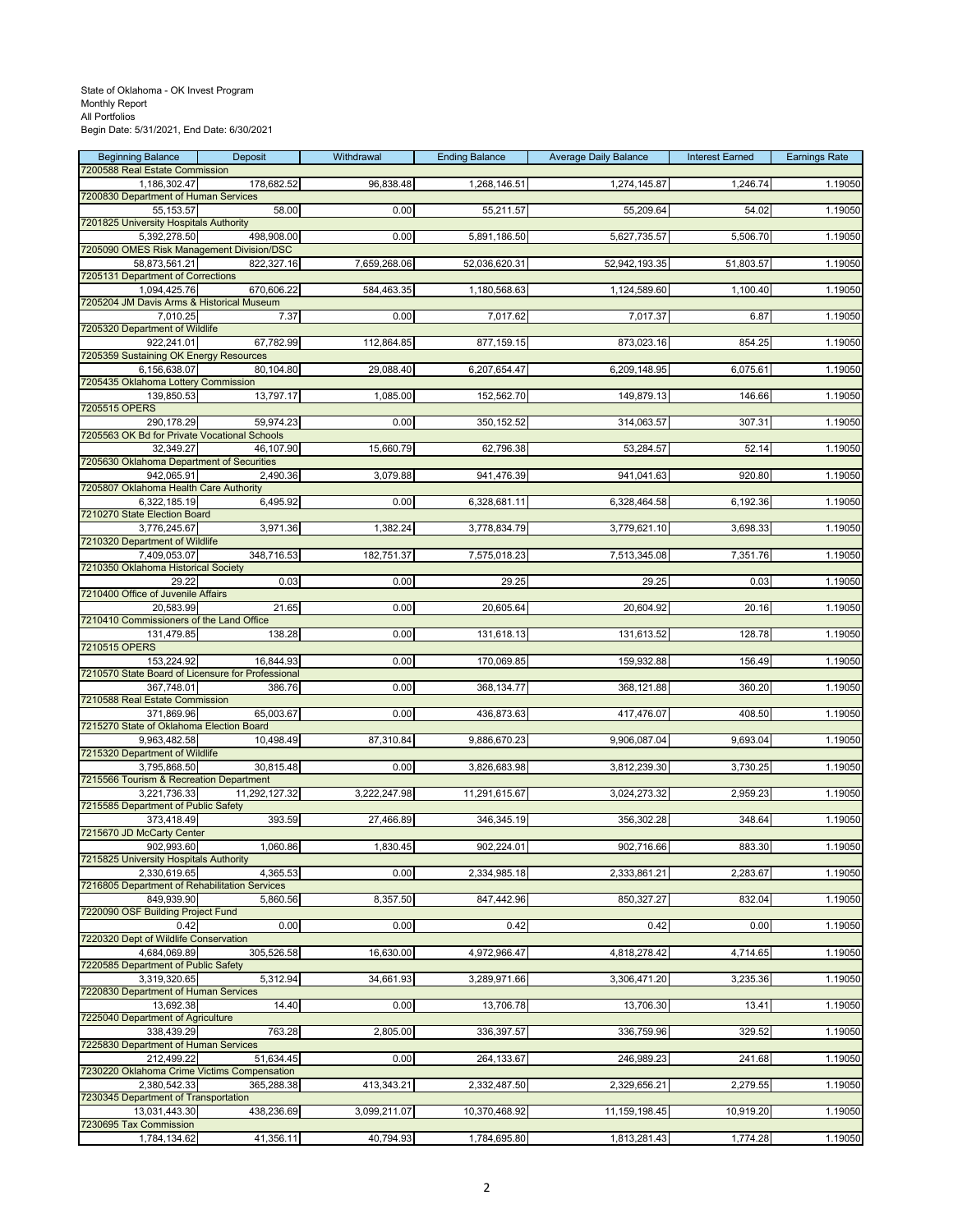| <b>Beginning Balance</b><br>7200588 Real Estate Commission      | Deposit       | Withdrawal   | <b>Ending Balance</b> | <b>Average Daily Balance</b> | <b>Interest Earned</b> | <b>Earnings Rate</b> |
|-----------------------------------------------------------------|---------------|--------------|-----------------------|------------------------------|------------------------|----------------------|
| 1,186,302.47                                                    | 178,682.52    | 96,838.48    | 1,268,146.51          | 1,274,145.87                 | 1,246.74               | 1.19050              |
| 7200830 Department of Human Services                            |               |              |                       |                              |                        |                      |
| 55, 153.57<br>7201825 University Hospitals Authority            | 58.00         | 0.00         | 55,211.57             | 55,209.64                    | 54.02                  | 1.19050              |
| 5,392,278.50                                                    | 498,908.00    | 0.00         | 5,891,186.50          | 5,627,735.57                 | 5,506.70               | 1.19050              |
| 7205090 OMES Risk Management Division/DSC                       |               |              |                       |                              |                        |                      |
| 58,873,561.21<br>7205131 Department of Corrections              | 822,327.16    | 7,659,268.06 | 52,036,620.31         | 52,942,193.35                | 51,803.57              | 1.19050              |
| 1,094,425.76                                                    | 670,606.22    | 584,463.35   | 1,180,568.63          | 1,124,589.60                 | 1,100.40               | 1.19050              |
| 7205204 JM Davis Arms & Historical Museum<br>7.010.25           | 7.37          | 0.00         | 7,017.62              | 7,017.37                     | 6.87                   | 1.19050              |
| 7205320 Department of Wildlife                                  |               |              |                       |                              |                        |                      |
| 922,241.01<br>7205359 Sustaining OK Energy Resources            | 67,782.99     | 112,864.85   | 877,159.15            | 873,023.16                   | 854.25                 | 1.19050              |
| 6,156,638.07                                                    | 80,104.80     | 29,088.40    | 6,207,654.47          | 6,209,148.95                 | 6,075.61               | 1.19050              |
| 7205435 Oklahoma Lottery Commission                             |               |              |                       |                              |                        |                      |
| 139,850.53<br>7205515 OPERS                                     | 13,797.17     | 1,085.00     | 152,562.70            | 149,879.13                   | 146.66                 | 1.19050              |
| 290,178.29                                                      | 59,974.23     | 0.00         | 350, 152.52           | 314,063.57                   | 307.31                 | 1.19050              |
| 7205563 OK Bd for Private Vocational Schools<br>32,349.27       | 46,107.90     | 15,660.79    | 62,796.38             | 53,284.57                    | 52.14                  | 1.19050              |
| 7205630 Oklahoma Department of Securities                       |               |              |                       |                              |                        |                      |
| 942,065.91                                                      | 2,490.36      | 3,079.88     | 941,476.39            | 941,041.63                   | 920.80                 | 1.19050              |
| 7205807 Oklahoma Health Care Authority<br>6,322,185.19          | 6,495.92      | 0.00         | 6,328,681.11          | 6,328,464.58                 | 6,192.36               | 1.19050              |
| 7210270 State Election Board                                    |               |              |                       |                              |                        |                      |
| 3,776,245.67<br>7210320 Department of Wildlife                  | 3,971.36      | 1,382.24     | 3,778,834.79          | 3,779,621.10                 | 3,698.33               | 1.19050              |
| 7,409,053.07                                                    | 348,716.53    | 182,751.37   | 7,575,018.23          | 7,513,345.08                 | 7,351.76               | 1.19050              |
| 7210350 Oklahoma Historical Society                             |               |              |                       |                              |                        |                      |
| 29.22<br>7210400 Office of Juvenile Affairs                     | 0.03          | 0.00         | 29.25                 | 29.25                        | 0.03                   | 1.19050              |
| 20,583.99                                                       | 21.65         | 0.00         | 20,605.64             | 20,604.92                    | 20.16                  | 1.19050              |
| 7210410 Commissioners of the Land Office                        |               |              |                       |                              |                        |                      |
| 131,479.85<br>7210515 OPERS                                     | 138.28        | 0.00         | 131,618.13            | 131,613.52                   | 128.78                 | 1.19050              |
| 153,224.92                                                      | 16,844.93     | 0.00         | 170,069.85            | 159,932.88                   | 156.49                 | 1.19050              |
| 7210570 State Board of Licensure for Professional<br>367,748.01 | 386.76        | 0.00         | 368,134.77            | 368,121.88                   | 360.20                 | 1.19050              |
| 7210588 Real Estate Commission                                  |               |              |                       |                              |                        |                      |
| 371,869.96                                                      | 65,003.67     | 0.00         | 436,873.63            | 417,476.07                   | 408.50                 | 1.19050              |
| 7215270 State of Oklahoma Election Board<br>9,963,482.58        | 10,498.49     | 87,310.84    | 9,886,670.23          | 9,906,087.04                 | 9,693.04               | 1.19050              |
| 7215320 Department of Wildlife                                  |               |              |                       |                              |                        |                      |
| 3,795,868.50<br>7215566 Tourism & Recreation Department         | 30,815.48     | 0.00         | 3,826,683.98          | 3,812,239.30                 | 3,730.25               | 1.19050              |
| 3,221,736.33                                                    | 11,292,127.32 | 3,222,247.98 | 11,291,615.67         | 3,024,273.32                 | 2,959.23               | 1.19050              |
| 7215585 Department of Public Safety                             |               |              |                       |                              |                        |                      |
| 373,418.49<br>7215670 JD McCarty Center                         | 393.59        | 27,466.89    | 346,345.19            | 356,302.28                   | 348.64                 | 1.19050              |
| 902,993.60                                                      | 1,060.86      | 1,830.45     | 902,224.01            | 902,716.66                   | 883.30                 | 1.19050              |
| 7215825 University Hospitals Authority<br>2,330,619.65          | 4,365.53      | 0.00         | 2,334,985.18          | 2,333,861.21                 | 2,283.67               | 1.19050              |
| 7216805 Department of Rehabilitation Services                   |               |              |                       |                              |                        |                      |
| 849,939.90                                                      | 5.860.56      | 8,357.50     | 847,442.96            | 850,327.27                   | 832.04                 | 1.19050              |
| 7220090 OSF Building Project Fund<br>0.42                       | 0.00          | 0.00         | 0.42                  | 0.42                         | 0.00                   | 1.19050              |
| 7220320 Dept of Wildlife Conservation                           |               |              |                       |                              |                        |                      |
| 4,684,069.89<br>7220585 Department of Public Safety             | 305,526.58    | 16,630.00    | 4,972,966.47          | 4,818,278.42                 | 4,714.65               | 1.19050              |
| 3,319,320.65                                                    | 5,312.94      | 34,661.93    | 3,289,971.66          | 3,306,471.20                 | 3,235.36               | 1.19050              |
| 7220830 Department of Human Services                            |               |              |                       |                              |                        |                      |
| 13,692.38<br>7225040 Department of Agriculture                  | 14.40         | 0.00         | 13,706.78             | 13,706.30                    | 13.41                  | 1.19050              |
| 338,439.29                                                      | 763.28        | 2,805.00     | 336,397.57            | 336,759.96                   | 329.52                 | 1.19050              |
| 7225830 Department of Human Services<br>212,499.22              | 51,634.45     | 0.00         | 264,133.67            | 246,989.23                   | 241.68                 | 1.19050              |
| 7230220 Oklahoma Crime Victims Compensation                     |               |              |                       |                              |                        |                      |
| 2,380,542.33<br>7230345 Department of Transportation            | 365,288.38    | 413,343.21   | 2,332,487.50          | 2,329,656.21                 | 2,279.55               | 1.19050              |
| 13,031,443.30                                                   | 438,236.69    | 3,099,211.07 | 10,370,468.92         | 11,159,198.45                | 10,919.20              | 1.19050              |
| 7230695 Tax Commission                                          |               |              |                       |                              |                        |                      |
| 1,784,134.62                                                    | 41,356.11     | 40,794.93    | 1,784,695.80          | 1,813,281.43                 | 1,774.28               | 1.19050              |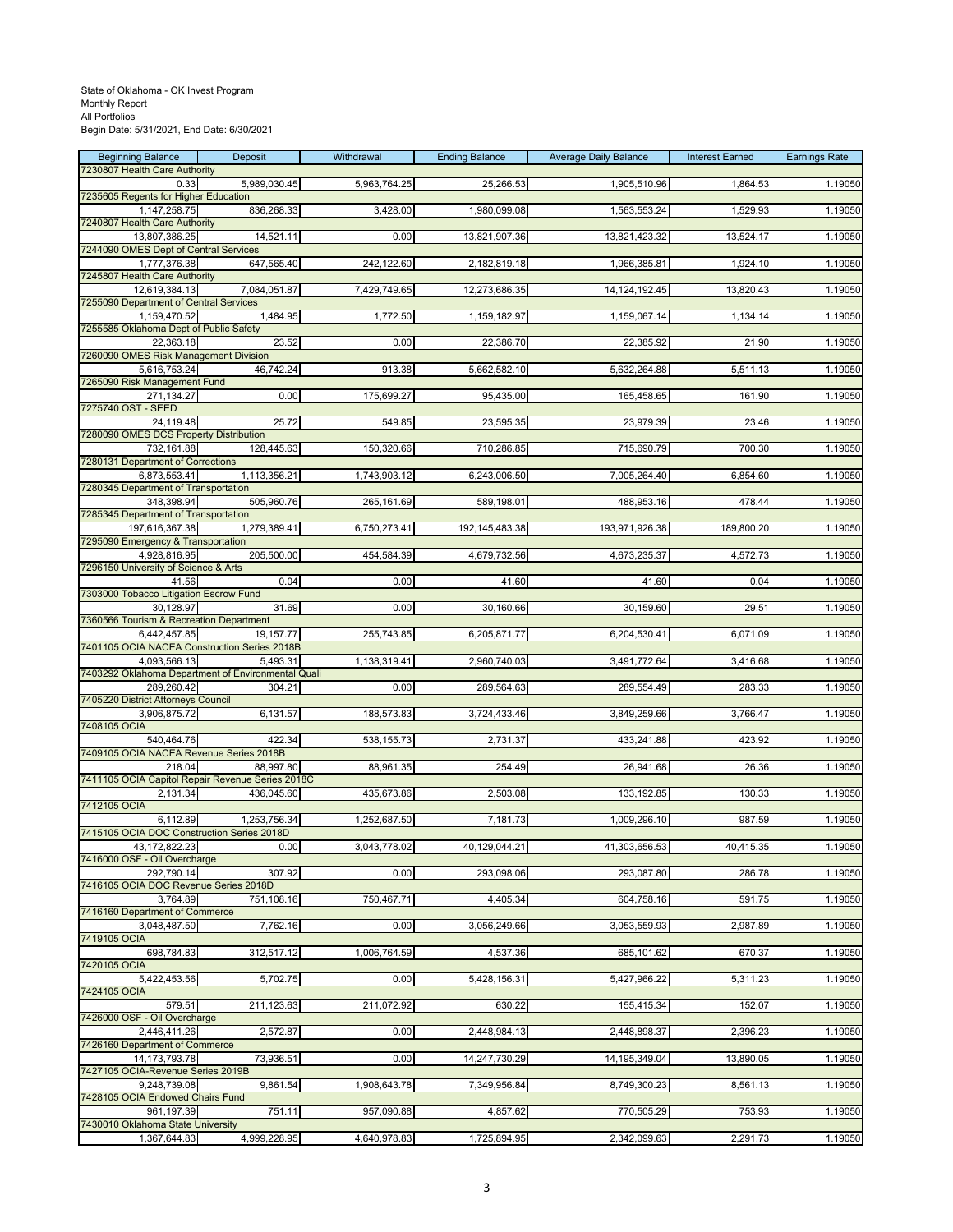#### State of Oklahoma - OK Invest Program Monthly Report All Portfolios Begin Date: 5/31/2021, End Date: 6/30/2021

| <b>Beginning Balance</b>                                     | Deposit      | Withdrawal   | <b>Ending Balance</b> | <b>Average Daily Balance</b> | <b>Interest Earned</b> | <b>Earnings Rate</b> |
|--------------------------------------------------------------|--------------|--------------|-----------------------|------------------------------|------------------------|----------------------|
| 7230807 Health Care Authority<br>0.33                        | 5,989,030.45 | 5,963,764.25 | 25,266.53             | 1,905,510.96                 | 1,864.53               | 1.19050              |
| 7235605 Regents for Higher Education<br>1,147,258.75         | 836,268.33   | 3,428.00     | 1,980,099.08          | 1,563,553.24                 | 1,529.93               | 1.19050              |
| 7240807 Health Care Authority                                |              |              |                       |                              |                        |                      |
| 13,807,386.25                                                | 14,521.11    | 0.00         | 13,821,907.36         | 13,821,423.32                | 13,524.17              | 1.19050              |
| 7244090 OMES Dept of Central Services<br>1,777,376.38        | 647,565.40   | 242,122.60   | 2,182,819.18          | 1,966,385.81                 | 1,924.10               | 1.19050              |
| 7245807 Health Care Authority                                |              |              |                       |                              |                        |                      |
| 12,619,384.13<br>7255090 Department of Central Services      | 7,084,051.87 | 7,429,749.65 | 12,273,686.35         | 14, 124, 192. 45             | 13,820.43              | 1.19050              |
| 1,159,470.52                                                 | 1,484.95     | 1,772.50     | 1,159,182.97          | 1,159,067.14                 | 1,134.14               | 1.19050              |
| 7255585 Oklahoma Dept of Public Safety<br>22,363.18          | 23.52        | 0.00         | 22,386.70             | 22,385.92                    | 21.90                  | 1.19050              |
| 7260090 OMES Risk Management Division                        |              |              |                       |                              |                        |                      |
| 5,616,753.24<br>7265090 Risk Management Fund                 | 46,742.24    | 913.38       | 5,662,582.10          | 5,632,264.88                 | 5,511.13               | 1.19050              |
| 271,134.27                                                   | 0.00         | 175,699.27   | 95,435.00             | 165,458.65                   | 161.90                 | 1.19050              |
| 7275740 OST - SEED<br>24,119.48                              | 25.72        | 549.85       | 23,595.35             | 23,979.39                    | 23.46                  | 1.19050              |
| 7280090 OMES DCS Property Distribution                       |              |              |                       |                              |                        |                      |
| 732,161.88<br>7280131 Department of Corrections              | 128,445.63   | 150,320.66   | 710,286.85            | 715,690.79                   | 700.30                 | 1.19050              |
| 6,873,553.41                                                 | 1,113,356.21 | 1,743,903.12 | 6,243,006.50          | 7,005,264.40                 | 6,854.60               | 1.19050              |
| 7280345 Department of Transportation<br>348,398.94           | 505,960.76   | 265,161.69   | 589,198.01            | 488,953.16                   | 478.44                 | 1.19050              |
| 7285345 Department of Transportation                         |              |              |                       |                              |                        |                      |
| 197,616,367.38<br>7295090 Emergency & Transportation         | 1,279,389.41 | 6,750,273.41 | 192,145,483.38        | 193,971,926.38               | 189,800.20             | 1.19050              |
| 4,928,816.95                                                 | 205,500.00   | 454,584.39   | 4,679,732.56          | 4,673,235.37                 | 4,572.73               | 1.19050              |
| 7296150 University of Science & Arts<br>41.56                | 0.04         | 0.00         | 41.60                 | 41.60                        | 0.04                   | 1.19050              |
| 7303000 Tobacco Litigation Escrow Fund                       |              |              |                       |                              |                        |                      |
| 30,128.97<br>7360566 Tourism & Recreation Department         | 31.69        | 0.00         | 30,160.66             | 30,159.60                    | 29.51                  | 1.19050              |
| 6,442,457.85                                                 | 19,157.77    | 255,743.85   | 6,205,871.77          | 6,204,530.41                 | 6,071.09               | 1.19050              |
| 7401105 OCIA NACEA Construction Series 2018B<br>4,093,566.13 | 5,493.31     | 1,138,319.41 | 2,960,740.03          | 3,491,772.64                 | 3,416.68               | 1.19050              |
| 7403292 Oklahoma Department of Environmental Quali           |              |              |                       |                              |                        |                      |
| 289,260.42<br>7405220 District Attorneys Council             | 304.21       | 0.00         | 289,564.63            | 289,554.49                   | 283.33                 | 1.19050              |
| 3,906,875.72                                                 | 6,131.57     | 188,573.83   | 3,724,433.46          | 3,849,259.66                 | 3,766.47               | 1.19050              |
| 7408105 OCIA<br>540,464.76                                   | 422.34       | 538,155.73   | 2,731.37              | 433,241.88                   | 423.92                 | 1.19050              |
| 7409105 OCIA NACEA Revenue Series 2018B                      |              |              |                       |                              |                        |                      |
| 218.04<br>7411105 OCIA Capitol Repair Revenue Series 2018C   | 88,997.80    | 88,961.35    | 254.49                | 26,941.68                    | 26.36                  | 1.19050              |
| 2,131.34                                                     | 436,045.60   | 435,673.86   | 2,503.08              | 133,192.85                   | 130.33                 | 1.19050              |
| 7412105 OCIA<br>6,112.89                                     | 1,253,756.34 | 1,252,687.50 | 7,181.73              | 1,009,296.10                 | 987.59                 | 1.19050              |
| 7415105 OCIA DOC Construction Series 2018D                   |              |              |                       |                              |                        |                      |
| 43,172,822.23<br>7416000 OSF - Oil Overcharge                | 0.00         | 3,043,778.02 | 40,129,044.21         | 41,303,656.53                | 40,415.35              | 1.19050              |
| 292,790.14                                                   | 307.92       | 0.00         | 293,098.06            | 293,087.80                   | 286.78                 | 1.19050              |
| 7416105 OCIA DOC Revenue Series 2018D<br>3,764.89            | 751,108.16   | 750,467.71   | 4,405.34              | 604,758.16                   | 591.75                 | 1.19050              |
| 7416160 Department of Commerce                               |              |              |                       |                              |                        |                      |
| 3,048,487.50<br>7419105 OCIA                                 | 7,762.16     | 0.00         | 3,056,249.66          | 3,053,559.93                 | 2,987.89               | 1.19050              |
| 698,784.83                                                   | 312,517.12   | 1,006,764.59 | 4,537.36              | 685,101.62                   | 670.37                 | 1.19050              |
| 7420105 OCIA<br>5,422,453.56                                 | 5,702.75     | 0.00         | 5,428,156.31          | 5,427,966.22                 | 5,311.23               | 1.19050              |
| 7424105 OCIA                                                 |              |              |                       |                              |                        |                      |
| 579.51<br>7426000 OSF - Oil Overcharge                       | 211,123.63   | 211,072.92   | 630.22                | 155,415.34                   | 152.07                 | 1.19050              |
| 2,446,411.26                                                 | 2,572.87     | 0.00         | 2,448,984.13          | 2,448,898.37                 | 2,396.23               | 1.19050              |
| 7426160 Department of Commerce<br>14,173,793.78              | 73,936.51    | 0.00         | 14,247,730.29         | 14,195,349.04                | 13,890.05              | 1.19050              |
| 7427105 OCIA-Revenue Series 2019B                            |              |              |                       |                              |                        |                      |
| 9,248,739.08<br>7428105 OCIA Endowed Chairs Fund             | 9,861.54     | 1,908,643.78 | 7,349,956.84          | 8,749,300.23                 | 8,561.13               | 1.19050              |
| 961,197.39                                                   | 751.11       | 957,090.88   | 4,857.62              | 770,505.29                   | 753.93                 | 1.19050              |
| 7430010 Oklahoma State University<br>1,367,644.83            | 4,999,228.95 | 4,640,978.83 | 1,725,894.95          | 2,342,099.63                 | 2,291.73               | 1.19050              |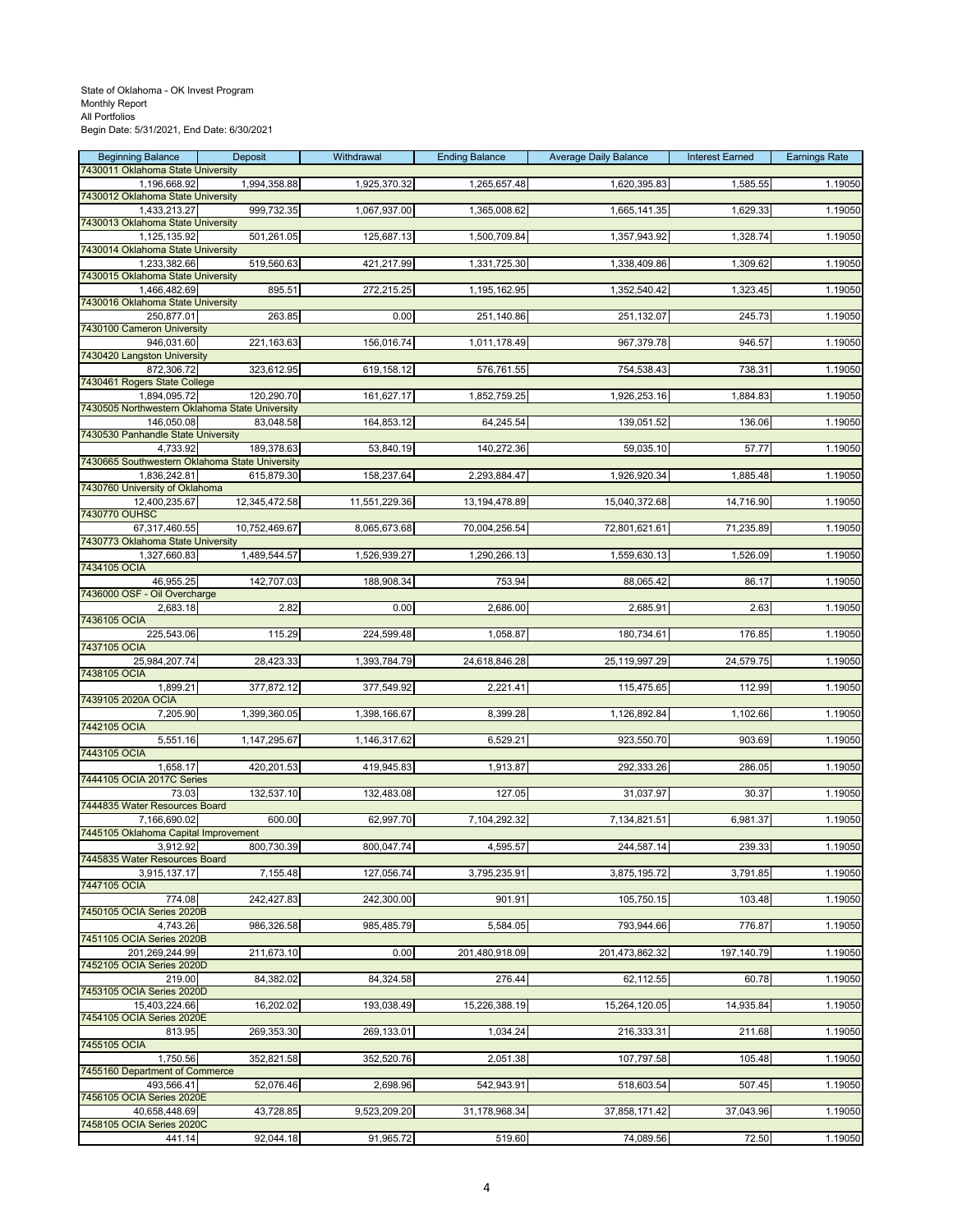| <b>Beginning Balance</b><br>7430011 Oklahoma State University  | Deposit       | Withdrawal    | <b>Ending Balance</b> | <b>Average Daily Balance</b> | <b>Interest Earned</b> | <b>Earnings Rate</b> |
|----------------------------------------------------------------|---------------|---------------|-----------------------|------------------------------|------------------------|----------------------|
| 1,196,668.92                                                   | 1,994,358.88  | 1,925,370.32  | 1,265,657.48          | 1,620,395.83                 | 1,585.55               | 1.19050              |
| 7430012 Oklahoma State University<br>1,433,213.27              | 999,732.35    | 1,067,937.00  | 1,365,008.62          | 1,665,141.35                 | 1,629.33               | 1.19050              |
| 7430013 Oklahoma State University                              |               |               |                       |                              |                        |                      |
| 1,125,135.92                                                   | 501,261.05    | 125,687.13    | 1,500,709.84          | 1,357,943.92                 | 1,328.74               | 1.19050              |
| 7430014 Oklahoma State University<br>1,233,382.66              | 519,560.63    | 421,217.99    | 1,331,725.30          | 1,338,409.86                 | 1,309.62               | 1.19050              |
| 7430015 Oklahoma State University                              |               |               |                       |                              |                        |                      |
| 1,466,482.69<br>7430016 Oklahoma State University              | 895.51        | 272,215.25    | 1,195,162.95          | 1,352,540.42                 | 1,323.45               | 1.19050              |
| 250,877.01                                                     | 263.85        | 0.00          | 251,140.86            | 251,132.07                   | 245.73                 | 1.19050              |
| 7430100 Cameron University<br>946,031.60                       | 221,163.63    | 156,016.74    | 1,011,178.49          | 967,379.78                   | 946.57                 | 1.19050              |
| 7430420 Langston University                                    |               |               |                       |                              |                        |                      |
| 872,306.72<br>7430461 Rogers State College                     | 323,612.95    | 619,158.12    | 576,761.55            | 754,538.43                   | 738.31                 | 1.19050              |
| 1,894,095.72                                                   | 120,290.70    | 161,627.17    | 1,852,759.25          | 1,926,253.16                 | 1,884.83               | 1.19050              |
| 7430505 Northwestern Oklahoma State University                 |               |               |                       |                              |                        |                      |
| 146,050.08<br>7430530 Panhandle State University               | 83,048.58     | 164,853.12    | 64,245.54             | 139,051.52                   | 136.06                 | 1.19050              |
| 4,733.92                                                       | 189,378.63    | 53,840.19     | 140,272.36            | 59,035.10                    | 57.77                  | 1.19050              |
| 7430665 Southwestern Oklahoma State University<br>1,836,242.81 | 615,879.30    | 158,237.64    | 2,293,884.47          | 1,926,920.34                 | 1,885.48               | 1.19050              |
| 7430760 University of Oklahoma                                 |               |               |                       |                              |                        |                      |
| 12,400,235.67<br>7430770 OUHSC                                 | 12,345,472.58 | 11,551,229.36 | 13, 194, 478.89       | 15,040,372.68                | 14,716.90              | 1.19050              |
| 67,317,460.55                                                  | 10,752,469.67 | 8,065,673.68  | 70,004,256.54         | 72,801,621.61                | 71,235.89              | 1.19050              |
| 7430773 Oklahoma State University<br>1,327,660.83              | 1,489,544.57  | 1,526,939.27  | 1,290,266.13          | 1,559,630.13                 | 1,526.09               | 1.19050              |
| 7434105 OCIA                                                   |               |               |                       |                              |                        |                      |
| 46,955.25<br>7436000 OSF - Oil Overcharge                      | 142,707.03    | 188,908.34    | 753.94                | 88,065.42                    | 86.17                  | 1.19050              |
| 2,683.18                                                       | 2.82          | 0.00          | 2,686.00              | 2,685.91                     | 2.63                   | 1.19050              |
| 7436105 OCIA                                                   |               |               |                       |                              |                        |                      |
| 225,543.06<br>7437105 OCIA                                     | 115.29        | 224,599.48    | 1,058.87              | 180,734.61                   | 176.85                 | 1.19050              |
| 25,984,207.74                                                  | 28,423.33     | 1,393,784.79  | 24,618,846.28         | 25,119,997.29                | 24,579.75              | 1.19050              |
| 7438105 OCIA<br>1,899.21                                       | 377,872.12    | 377,549.92    | 2,221.41              | 115,475.65                   | 112.99                 | 1.19050              |
| 7439105 2020A OCIA                                             |               |               |                       |                              |                        |                      |
| 7,205.90<br>7442105 OCIA                                       | 1,399,360.05  | 1,398,166.67  | 8,399.28              | 1,126,892.84                 | 1,102.66               | 1.19050              |
| 5,551.16                                                       | 1,147,295.67  | 1,146,317.62  | 6,529.21              | 923,550.70                   | 903.69                 | 1.19050              |
| 7443105 OCIA<br>1,658.17                                       | 420,201.53    | 419,945.83    | 1,913.87              | 292,333.26                   | 286.05                 | 1.19050              |
| 7444105 OCIA 2017C Series                                      |               |               |                       |                              |                        |                      |
| 73.03<br>7444835 Water Resources Board                         | 132,537.10    | 132,483.08    | 127.05                | 31,037.97                    | 30.37                  | 1.19050              |
| 7,166,690.02                                                   | 600.00        | 62,997.70     | 7,104,292.32          | 7,134,821.51                 | 6,981.37               | 1.19050              |
| 7445105 Oklahoma Capital Improvement                           |               |               |                       |                              |                        |                      |
| 3,912.92<br>7445835 Water Resources Board                      | 800,730.39    | 800,047.74    | 4,595.57              | 244,587.14                   | 239.33                 | 1.19050              |
| 3,915,137.17                                                   | 7,155.48      | 127,056.74    | 3,795,235.91          | 3,875,195.72                 | 3,791.85               | 1.19050              |
| 7447105 OCIA<br>774.08                                         | 242,427.83    | 242,300.00    | 901.91                | 105,750.15                   | 103.48                 | 1.19050              |
| 7450105 OCIA Series 2020B                                      |               |               |                       |                              |                        |                      |
| 4,743.26<br>7451105 OCIA Series 2020B                          | 986,326.58    | 985,485.79    | 5,584.05              | 793,944.66                   | 776.87                 | 1.19050              |
| 201.269.244.99                                                 | 211,673.10    | 0.00          | 201,480,918.09        | 201,473,862.32               | 197,140.79             | 1.19050              |
| 7452105 OCIA Series 2020D<br>219.00                            | 84,382.02     | 84,324.58     | 276.44                | 62,112.55                    | 60.78                  | 1.19050              |
| 7453105 OCIA Series 2020D                                      |               |               |                       |                              |                        |                      |
| 15,403,224.66<br>7454105 OCIA Series 2020E                     | 16,202.02     | 193,038.49    | 15,226,388.19         | 15,264,120.05                | 14,935.84              | 1.19050              |
| 813.95                                                         | 269,353.30    | 269,133.01    | 1,034.24              | 216,333.31                   | 211.68                 | 1.19050              |
| 7455105 OCIA                                                   |               |               |                       |                              |                        |                      |
| 1,750.56<br>7455160 Department of Commerce                     | 352,821.58    | 352,520.76    | 2,051.38              | 107,797.58                   | 105.48                 | 1.19050              |
| 493,566.41                                                     | 52,076.46     | 2,698.96      | 542,943.91            | 518,603.54                   | 507.45                 | 1.19050              |
| 7456105 OCIA Series 2020E<br>40,658,448.69                     | 43,728.85     | 9,523,209.20  | 31,178,968.34         | 37,858,171.42                | 37,043.96              | 1.19050              |
| 7458105 OCIA Series 2020C                                      |               |               |                       |                              |                        |                      |
| 441.14                                                         | 92,044.18     | 91,965.72     | 519.60                | 74,089.56                    | 72.50                  | 1.19050              |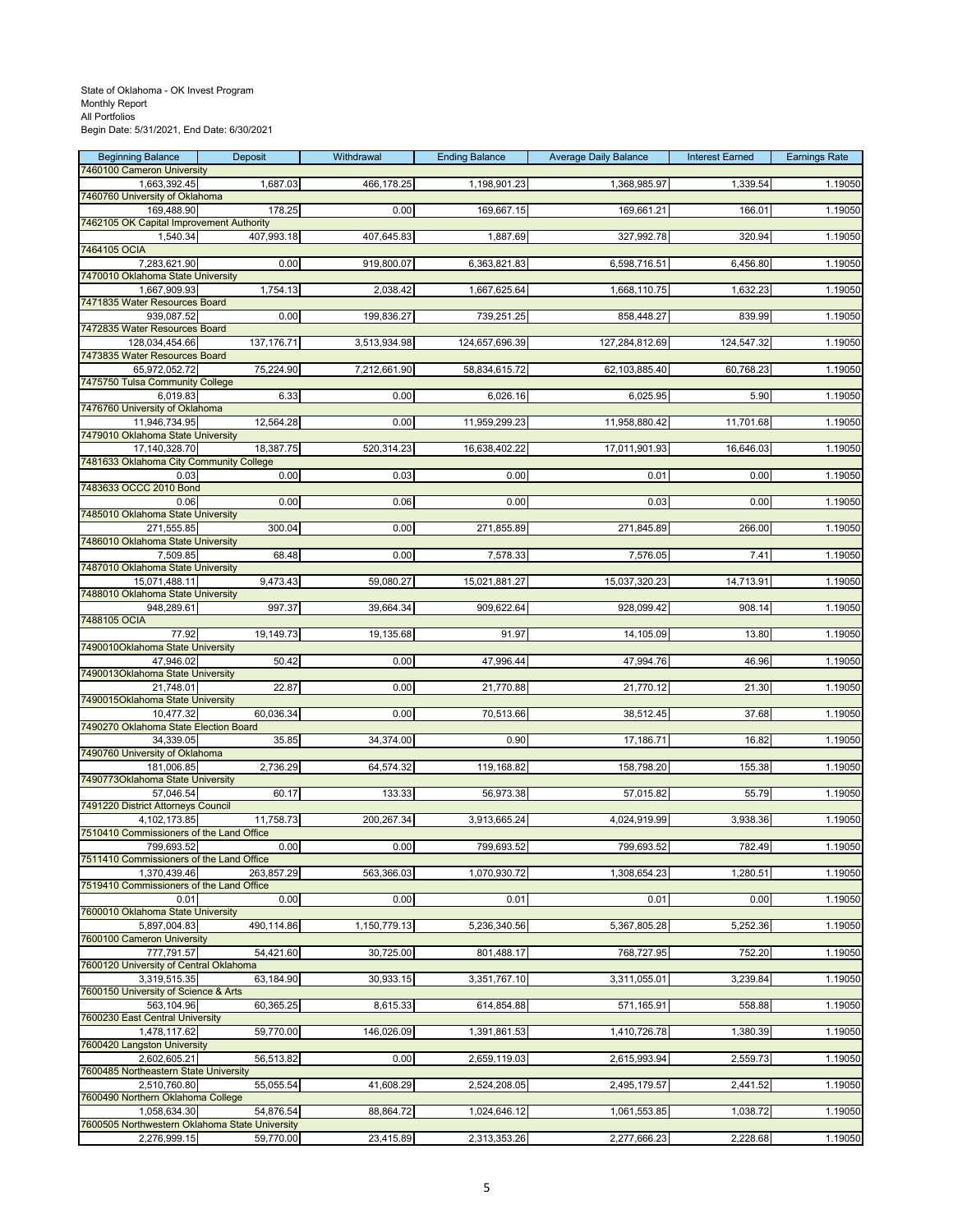| <b>Beginning Balance</b><br>7460100 Cameron University | Deposit    | Withdrawal   | <b>Ending Balance</b> | <b>Average Daily Balance</b> | <b>Interest Earned</b> | <b>Earnings Rate</b> |
|--------------------------------------------------------|------------|--------------|-----------------------|------------------------------|------------------------|----------------------|
| 1,663,392.45                                           | 1,687.03   | 466,178.25   | 1,198,901.23          | 1,368,985.97                 | 1,339.54               | 1.19050              |
| 7460760 University of Oklahoma<br>169,488.90           | 178.25     | 0.00         | 169,667.15            | 169,661.21                   | 166.01                 | 1.19050              |
| 7462105 OK Capital Improvement Authority               |            |              |                       |                              |                        |                      |
| 1,540.34                                               | 407,993.18 | 407,645.83   | 1,887.69              | 327,992.78                   | 320.94                 | 1.19050              |
| 7464105 OCIA<br>7,283,621.90                           | 0.00       | 919,800.07   | 6,363,821.83          | 6,598,716.51                 | 6,456.80               | 1.19050              |
| 7470010 Oklahoma State University                      |            |              |                       |                              |                        |                      |
| 1,667,909.93<br>7471835 Water Resources Board          | 1,754.13   | 2,038.42     | 1,667,625.64          | 1,668,110.75                 | 1,632.23               | 1.19050              |
| 939,087.52                                             | 0.00       | 199,836.27   | 739,251.25            | 858,448.27                   | 839.99                 | 1.19050              |
| 7472835 Water Resources Board<br>128,034,454.66        | 137,176.71 | 3,513,934.98 | 124,657,696.39        | 127,284,812.69               | 124,547.32             | 1.19050              |
| 7473835 Water Resources Board                          |            |              |                       |                              |                        |                      |
| 65,972,052.72                                          | 75,224.90  | 7,212,661.90 | 58,834,615.72         | 62,103,885.40                | 60,768.23              | 1.19050              |
| 7475750 Tulsa Community College<br>6,019.83            | 6.33       | 0.00         | 6,026.16              | 6,025.95                     | 5.90                   | 1.19050              |
| 7476760 University of Oklahoma                         |            |              |                       |                              |                        |                      |
| 11,946,734.95<br>7479010 Oklahoma State University     | 12,564.28  | 0.00         | 11,959,299.23         | 11,958,880.42                | 11,701.68              | 1.19050              |
| 17,140,328.70                                          | 18,387.75  | 520,314.23   | 16,638,402.22         | 17,011,901.93                | 16,646.03              | 1.19050              |
| 7481633 Oklahoma City Community College<br>0.03        | 0.00       | 0.03         | 0.00                  | 0.01                         | 0.00                   | 1.19050              |
| 7483633 OCCC 2010 Bond                                 |            |              |                       |                              |                        |                      |
| 0.06<br>7485010 Oklahoma State University              | 0.00       | 0.06         | 0.00                  | 0.03                         | 0.00                   | 1.19050              |
| 271.555.85                                             | 300.04     | 0.00         | 271,855.89            | 271,845.89                   | 266.00                 | 1.19050              |
| 7486010 Oklahoma State University                      |            |              |                       |                              |                        | 1.19050              |
| 7,509.85<br>7487010 Oklahoma State University          | 68.48      | 0.00         | 7,578.33              | 7,576.05                     | 7.41                   |                      |
| 15,071,488.11                                          | 9,473.43   | 59,080.27    | 15,021,881.27         | 15,037,320.23                | 14,713.91              | 1.19050              |
| 7488010 Oklahoma State University<br>948,289.61        | 997.37     | 39,664.34    | 909,622.64            | 928,099.42                   | 908.14                 | 1.19050              |
| 7488105 OCIA                                           |            |              |                       |                              |                        |                      |
| 77.92<br>7490010Oklahoma State University              | 19,149.73  | 19,135.68    | 91.97                 | 14,105.09                    | 13.80                  | 1.19050              |
| 47,946.02                                              | 50.42      | 0.00         | 47,996.44             | 47,994.76                    | 46.96                  | 1.19050              |
| 7490013Oklahoma State University<br>21,748.01          | 22.87      | 0.00         | 21,770.88             | 21,770.12                    | 21.30                  | 1.19050              |
| 7490015Oklahoma State University                       |            |              |                       |                              |                        |                      |
| 10,477.32<br>7490270 Oklahoma State Election Board     | 60,036.34  | 0.00         | 70,513.66             | 38,512.45                    | 37.68                  | 1.19050              |
| 34,339.05                                              | 35.85      | 34,374.00    | 0.90                  | 17,186.71                    | 16.82                  | 1.19050              |
| 7490760 University of Oklahoma                         |            |              |                       |                              |                        |                      |
| 181,006.85<br>7490773Oklahoma State University         | 2,736.29   | 64,574.32    | 119,168.82            | 158,798.20                   | 155.38                 | 1.19050              |
| 57,046.54                                              | 60.17      | 133.33       | 56,973.38             | 57,015.82                    | 55.79                  | 1.19050              |
| 7491220 District Attorneys Council<br>4,102,173.85     | 11,758.73  | 200,267.34   | 3,913,665.24          | 4,024,919.99                 | 3,938.36               | 1.19050              |
| 7510410 Commissioners of the Land Office               |            |              |                       |                              |                        |                      |
| 799,693.52<br>7511410 Commissioners of the Land Office | 0.00       | 0.00         | 799,693.52            | 799,693.52                   | 782.49                 | 1.19050              |
| 1,370,439.46                                           | 263.857.29 | 563,366.03   | 1,070,930.72          | 1,308,654.23                 | 1,280.51               | 1.19050              |
| 7519410 Commissioners of the Land Office<br>0.01       | 0.00       | 0.00         | 0.01                  | 0.01                         | 0.00                   | 1.19050              |
| 7600010 Oklahoma State University                      |            |              |                       |                              |                        |                      |
| 5,897,004.83<br>7600100 Cameron University             | 490,114.86 | 1,150,779.13 | 5,236,340.56          | 5,367,805.28                 | 5,252.36               | 1.19050              |
| 777,791.57                                             | 54,421.60  | 30,725.00    | 801,488.17            | 768,727.95                   | 752.20                 | 1.19050              |
| 7600120 University of Central Oklahoma                 |            |              |                       |                              |                        |                      |
| 3,319,515.35<br>7600150 University of Science & Arts   | 63,184.90  | 30,933.15    | 3,351,767.10          | 3,311,055.01                 | 3,239.84               | 1.19050              |
| 563,104.96                                             | 60,365.25  | 8,615.33     | 614,854.88            | 571,165.91                   | 558.88                 | 1.19050              |
| 7600230 East Central University<br>1,478,117.62        | 59,770.00  | 146,026.09   | 1,391,861.53          | 1,410,726.78                 | 1,380.39               | 1.19050              |
| 7600420 Langston University                            |            |              |                       |                              |                        |                      |
| 2,602,605.21<br>7600485 Northeastern State University  | 56,513.82  | 0.00         | 2,659,119.03          | 2,615,993.94                 | 2,559.73               | 1.19050              |
| 2,510,760.80                                           | 55,055.54  | 41,608.29    | 2,524,208.05          | 2,495,179.57                 | 2,441.52               | 1.19050              |
| 7600490 Northern Oklahoma College<br>1,058,634.30      | 54,876.54  | 88,864.72    | 1,024,646.12          | 1,061,553.85                 | 1,038.72               | 1.19050              |
| 7600505 Northwestern Oklahoma State University         |            |              |                       |                              |                        |                      |
| 2,276,999.15                                           | 59,770.00  | 23,415.89    | 2,313,353.26          | 2,277,666.23                 | 2,228.68               | 1.19050              |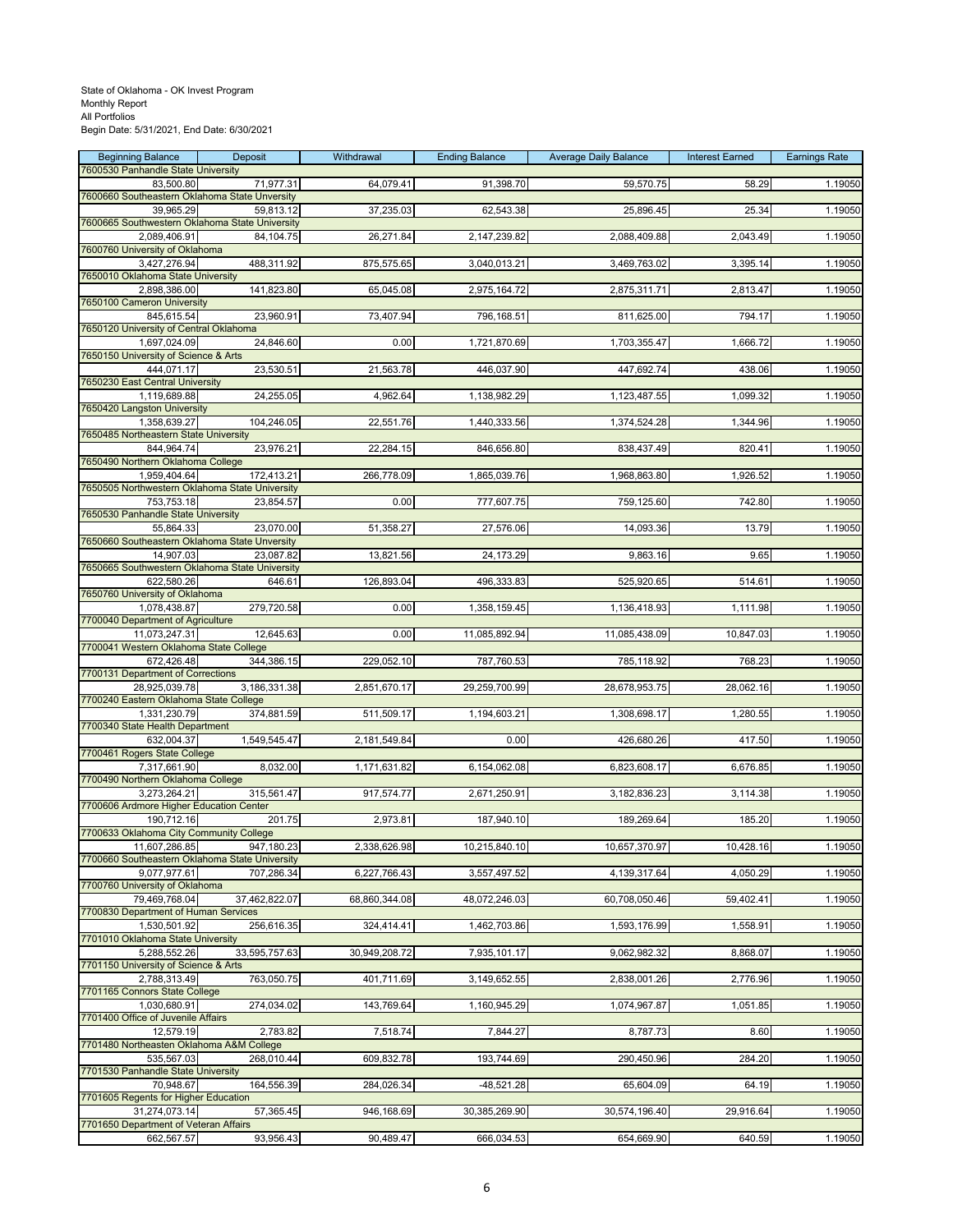| <b>Beginning Balance</b><br>7600530 Panhandle State University  | Deposit       | Withdrawal    | <b>Ending Balance</b> | <b>Average Daily Balance</b> | <b>Interest Earned</b> | <b>Earnings Rate</b> |
|-----------------------------------------------------------------|---------------|---------------|-----------------------|------------------------------|------------------------|----------------------|
| 83,500.80                                                       | 71,977.31     | 64,079.41     | 91,398.70             | 59,570.75                    | 58.29                  | 1.19050              |
| 7600660 Southeastern Oklahoma State Unversity                   |               |               |                       |                              |                        |                      |
| 39,965.29<br>7600665 Southwestern Oklahoma State University     | 59,813.12     | 37,235.03     | 62,543.38             | 25,896.45                    | 25.34                  | 1.19050              |
| 2,089,406.91                                                    | 84,104.75     | 26,271.84     | 2,147,239.82          | 2,088,409.88                 | 2,043.49               | 1.19050              |
| 7600760 University of Oklahoma                                  |               |               |                       |                              |                        |                      |
| 3,427,276.94<br>7650010 Oklahoma State University               | 488,311.92    | 875,575.65    | 3,040,013.21          | 3,469,763.02                 | 3,395.14               | 1.19050              |
| 2,898,386.00                                                    | 141,823.80    | 65,045.08     | 2,975,164.72          | 2,875,311.71                 | 2,813.47               | 1.19050              |
| 7650100 Cameron University<br>845,615.54                        | 23,960.91     | 73,407.94     | 796,168.51            | 811,625.00                   | 794.17                 | 1.19050              |
| 7650120 University of Central Oklahoma                          |               |               |                       |                              |                        |                      |
| 1,697,024.09                                                    | 24,846.60     | 0.00          | 1,721,870.69          | 1,703,355.47                 | 1,666.72               | 1.19050              |
| 7650150 University of Science & Arts<br>444,071.17              | 23,530.51     | 21,563.78     | 446,037.90            | 447,692.74                   | 438.06                 | 1.19050              |
| 7650230 East Central University                                 |               |               |                       |                              |                        |                      |
| 1,119,689.88                                                    | 24,255.05     | 4,962.64      | 1,138,982.29          | 1,123,487.55                 | 1,099.32               | 1.19050              |
| 7650420 Langston University<br>1,358,639.27                     | 104,246.05    | 22,551.76     | 1,440,333.56          | 1,374,524.28                 | 1,344.96               | 1.19050              |
| 7650485 Northeastern State University                           |               |               |                       |                              |                        |                      |
| 844,964.74<br>7650490 Northern Oklahoma College                 | 23,976.21     | 22,284.15     | 846,656.80            | 838,437.49                   | 820.41                 | 1.19050              |
| 1,959,404.64                                                    | 172,413.21    | 266,778.09    | 1,865,039.76          | 1,968,863.80                 | 1,926.52               | 1.19050              |
| 7650505 Northwestern Oklahoma State University                  |               |               |                       |                              |                        |                      |
| 753,753.18<br>7650530 Panhandle State University                | 23,854.57     | 0.00          | 777,607.75            | 759,125.60                   | 742.80                 | 1.19050              |
| 55.864.33                                                       | 23,070.00     | 51,358.27     | 27,576.06             | 14,093.36                    | 13.79                  | 1.19050              |
| 7650660 Southeastern Oklahoma State Unversity                   |               |               |                       |                              |                        |                      |
| 14,907.03<br>7650665 Southwestern Oklahoma State University     | 23,087.82     | 13,821.56     | 24,173.29             | 9,863.16                     | 9.65                   | 1.19050              |
| 622,580.26                                                      | 646.61        | 126,893.04    | 496,333.83            | 525,920.65                   | 514.61                 | 1.19050              |
| 7650760 University of Oklahoma                                  |               |               |                       |                              |                        |                      |
| 1,078,438.87<br>7700040 Department of Agriculture               | 279,720.58    | 0.00          | 1,358,159.45          | 1,136,418.93                 | 1,111.98               | 1.19050              |
| 11,073,247.31                                                   | 12,645.63     | 0.00          | 11,085,892.94         | 11,085,438.09                | 10,847.03              | 1.19050              |
| 7700041 Western Oklahoma State College<br>672,426.48            | 344,386.15    |               | 787,760.53            |                              |                        | 1.19050              |
| 7700131 Department of Corrections                               |               | 229,052.10    |                       | 785,118.92                   | 768.23                 |                      |
| 28,925,039.78                                                   | 3,186,331.38  | 2,851,670.17  | 29,259,700.99         | 28,678,953.75                | 28,062.16              | 1.19050              |
| 7700240 Eastern Oklahoma State College<br>1,331,230.79          | 374,881.59    | 511,509.17    | 1,194,603.21          | 1,308,698.17                 | 1,280.55               | 1.19050              |
| 7700340 State Health Department                                 |               |               |                       |                              |                        |                      |
| 632,004.37                                                      | 1,549,545.47  | 2,181,549.84  | 0.00                  | 426,680.26                   | 417.50                 | 1.19050              |
| 7700461 Rogers State College<br>7,317,661.90                    | 8,032.00      | 1,171,631.82  | 6,154,062.08          | 6,823,608.17                 | 6,676.85               | 1.19050              |
| 7700490 Northern Oklahoma College                               |               |               |                       |                              |                        |                      |
| 3,273,264.21                                                    | 315,561.47    | 917,574.77    | 2,671,250.91          | 3,182,836.23                 | 3,114.38               | 1.19050              |
| 7700606 Ardmore Higher Education Center<br>190,712.16           | 201.75        | 2,973.81      | 187,940.10            | 189,269.64                   | 185.20                 | 1.19050              |
| 7700633 Oklahoma City Community College                         |               |               |                       |                              |                        |                      |
| 11,607,286.85<br>7700660 Southeastern Oklahoma State University | 947,180.23    | 2,338,626.98  | 10,215,840.10         | 10,657,370.97                | 10,428.16              | 1.19050              |
| 9,077,977.61                                                    | 707,286.34    | 6,227,766.43  | 3,557,497.52          | 4,139,317.64                 | 4,050.29               | 1.19050              |
| 7700760 University of Oklahoma                                  |               |               |                       |                              |                        |                      |
| 79,469,768.04<br>7700830 Department of Human Services           | 37,462,822.07 | 68,860,344.08 | 48,072,246.03         | 60,708,050.46                | 59,402.41              | 1.19050              |
| 1,530,501.92                                                    | 256,616.35    | 324,414.41    | 1,462,703.86          | 1,593,176.99                 | 1,558.91               | 1.19050              |
| 7701010 Oklahoma State University                               |               |               |                       |                              |                        |                      |
| 5,288,552.26<br>7701150 University of Science & Arts            | 33,595,757.63 | 30,949,208.72 | 7,935,101.17          | 9,062,982.32                 | 8,868.07               | 1.19050              |
| 2,788,313.49                                                    | 763,050.75    | 401,711.69    | 3,149,652.55          | 2,838,001.26                 | 2,776.96               | 1.19050              |
| 7701165 Connors State College<br>1,030,680.91                   | 274,034.02    | 143,769.64    | 1,160,945.29          | 1,074,967.87                 | 1,051.85               | 1.19050              |
| 7701400 Office of Juvenile Affairs                              |               |               |                       |                              |                        |                      |
| $\overline{12}, 579.19$                                         | 2,783.82      | 7,518.74      | 7,844.27              | 8,787.73                     | 8.60                   | 1.19050              |
| 7701480 Northeasten Oklahoma A&M College<br>535,567.03          | 268,010.44    | 609,832.78    | 193,744.69            | 290,450.96                   | 284.20                 | 1.19050              |
| 7701530 Panhandle State University                              |               |               |                       |                              |                        |                      |
| 70,948.67                                                       | 164,556.39    | 284,026.34    | $-48,521.28$          | 65,604.09                    | 64.19                  | 1.19050              |
| 7701605 Regents for Higher Education<br>31,274,073.14           | 57,365.45     | 946,168.69    | 30,385,269.90         | 30,574,196.40                | 29,916.64              | 1.19050              |
| 7701650 Department of Veteran Affairs                           |               |               |                       |                              |                        |                      |
| 662,567.57                                                      | 93,956.43     | 90,489.47     | 666,034.53            | 654,669.90                   | 640.59                 | 1.19050              |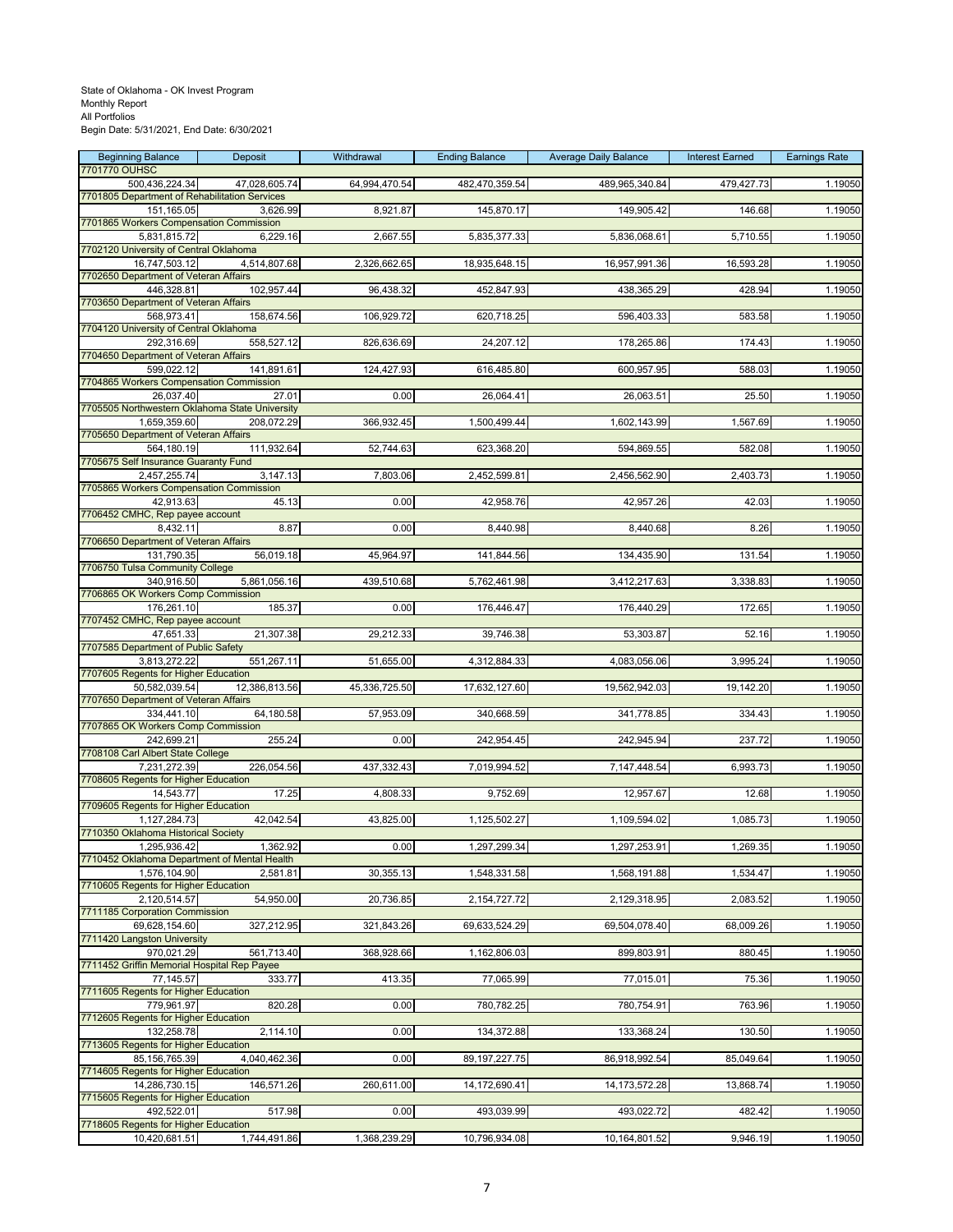| <b>Beginning Balance</b><br>7701770 OUHSC                    | Deposit       | Withdrawal    | <b>Ending Balance</b> | <b>Average Daily Balance</b> | <b>Interest Earned</b> | <b>Earnings Rate</b> |
|--------------------------------------------------------------|---------------|---------------|-----------------------|------------------------------|------------------------|----------------------|
| 500,436,224.34                                               | 47,028,605.74 | 64,994,470.54 | 482,470,359.54        | 489,965,340.84               | 479,427.73             | 1.19050              |
| 7701805 Department of Rehabilitation Services<br>151,165.05  | 3,626.99      | 8,921.87      | 145,870.17            | 149,905.42                   | 146.68                 | 1.19050              |
| 7701865 Workers Compensation Commission                      |               |               |                       |                              |                        |                      |
| 5,831,815.72                                                 | 6,229.16      | 2,667.55      | 5,835,377.33          | 5,836,068.61                 | 5,710.55               | 1.19050              |
| 7702120 University of Central Oklahoma<br>16,747,503.12      | 4,514,807.68  | 2,326,662.65  | 18,935,648.15         | 16,957,991.36                | 16,593.28              | 1.19050              |
| 7702650 Department of Veteran Affairs                        |               |               |                       |                              |                        |                      |
| 446,328.81<br>7703650 Department of Veteran Affairs          | 102,957.44    | 96,438.32     | 452,847.93            | 438,365.29                   | 428.94                 | 1.19050              |
| 568,973.41                                                   | 158,674.56    | 106,929.72    | 620,718.25            | 596,403.33                   | 583.58                 | 1.19050              |
| 7704120 University of Central Oklahoma                       |               |               |                       |                              |                        |                      |
| 292,316.69<br>7704650 Department of Veteran Affairs          | 558,527.12    | 826,636.69    | 24,207.12             | 178,265.86                   | 174.43                 | 1.19050              |
| 599,022.12                                                   | 141,891.61    | 124,427.93    | 616,485.80            | 600,957.95                   | 588.03                 | 1.19050              |
| 7704865 Workers Compensation Commission<br>26,037.40         | 27.01         | 0.00          | 26,064.41             | 26,063.51                    | 25.50                  | 1.19050              |
| 7705505 Northwestern Oklahoma State University               |               |               |                       |                              |                        |                      |
| 1,659,359.60                                                 | 208,072.29    | 366,932.45    | 1,500,499.44          | 1,602,143.99                 | 1,567.69               | 1.19050              |
| 7705650 Department of Veteran Affairs<br>564.180.19          | 111,932.64    | 52,744.63     | 623,368.20            | 594,869.55                   | 582.08                 | 1.19050              |
| 7705675 Self Insurance Guaranty Fund                         |               |               |                       |                              |                        |                      |
| 2,457,255.74<br>7705865 Workers Compensation Commission      | 3,147.13      | 7,803.06      | 2,452,599.81          | 2,456,562.90                 | 2,403.73               | 1.19050              |
| 42,913.63                                                    | 45.13         | 0.00          | 42,958.76             | 42,957.26                    | 42.03                  | 1.19050              |
| 7706452 CMHC, Rep payee account                              |               |               |                       |                              |                        |                      |
| 8,432.11<br>7706650 Department of Veteran Affairs            | 8.87          | 0.00          | 8,440.98              | 8,440.68                     | 8.26                   | 1.19050              |
| 131,790.35                                                   | 56,019.18     | 45,964.97     | 141,844.56            | 134,435.90                   | 131.54                 | 1.19050              |
| 7706750 Tulsa Community College<br>340,916.50                | 5,861,056.16  | 439,510.68    | 5,762,461.98          | 3,412,217.63                 | 3,338.83               | 1.19050              |
| 7706865 OK Workers Comp Commission                           |               |               |                       |                              |                        |                      |
| 176,261.10                                                   | 185.37        | 0.00          | 176,446.47            | 176,440.29                   | 172.65                 | 1.19050              |
| 7707452 CMHC, Rep payee account<br>47,651.33                 | 21,307.38     | 29,212.33     | 39,746.38             | 53,303.87                    | 52.16                  | 1.19050              |
| 7707585 Department of Public Safety                          |               |               |                       |                              |                        |                      |
| 3,813,272.22<br>7707605 Regents for Higher Education         | 551,267.11    | 51,655.00     | 4,312,884.33          | 4,083,056.06                 | 3,995.24               | 1.19050              |
| 50,582,039.54                                                | 12,386,813.56 | 45,336,725.50 | 17,632,127.60         | 19,562,942.03                | 19,142.20              | 1.19050              |
| 7707650 Department of Veteran Affairs<br>334,441.10          | 64,180.58     | 57,953.09     | 340,668.59            | 341,778.85                   | 334.43                 | 1.19050              |
| 7707865 OK Workers Comp Commission                           |               |               |                       |                              |                        |                      |
| 242,699.21                                                   | 255.24        | 0.00          | 242,954.45            | 242,945.94                   | 237.72                 | 1.19050              |
| 7708108 Carl Albert State College<br>7,231,272.39            | 226,054.56    | 437,332.43    | 7,019,994.52          | 7,147,448.54                 | 6,993.73               | 1.19050              |
| 7708605 Regents for Higher Education                         |               |               |                       |                              |                        |                      |
| 14,543.77<br>7709605 Regents for Higher Education            | 17.25         | 4,808.33      | 9,752.69              | 12,957.67                    | 12.68                  | 1.19050              |
| 1,127,284.73                                                 | 42,042.54     | 43,825.00     | 1,125,502.27          | 1,109,594.02                 | 1,085.73               | 1.19050              |
| 7710350 Oklahoma Historical Society                          |               |               |                       |                              |                        |                      |
| 1,295,936.42<br>7710452 Oklahoma Department of Mental Health | 1,362.92      | <b>U.UU</b>   | 1,297,299.34          | 1,297,253.91                 | 1,269.35               | 1.19050              |
| 1,576,104.90                                                 | 2,581.81      | 30,355.13     | 1,548,331.58          | 1,568,191.88                 | 1,534.47               | 1.19050              |
| 7710605 Regents for Higher Education<br>2,120,514.57         | 54,950.00     | 20,736.85     | 2,154,727.72          | 2,129,318.95                 | 2,083.52               | 1.19050              |
| 7711185 Corporation Commission                               |               |               |                       |                              |                        |                      |
| 69.628.154.60<br>7711420 Langston University                 | 327,212.95    | 321,843.26    | 69,633,524.29         | 69,504,078.40                | 68,009.26              | 1.19050              |
| 970,021.29                                                   | 561,713.40    | 368,928.66    | 1,162,806.03          | 899,803.91                   | 880.45                 | 1.19050              |
| 7711452 Griffin Memorial Hospital Rep Payee                  |               |               |                       |                              |                        |                      |
| 77,145.57<br>7711605 Regents for Higher Education            | 333.77        | 413.35        | 77,065.99             | 77,015.01                    | 75.36                  | 1.19050              |
| 779,961.97                                                   | 820.28        | 0.00          | 780,782.25            | 780,754.91                   | 763.96                 | 1.19050              |
| 7712605 Regents for Higher Education<br>132,258.78           | 2,114.10      | 0.00          | 134,372.88            | 133,368.24                   | 130.50                 | 1.19050              |
| 7713605 Regents for Higher Education                         |               |               |                       |                              |                        |                      |
| 85,156,765.39                                                | 4,040,462.36  | 0.00          | 89, 197, 227. 75      | 86,918,992.54                | 85,049.64              | 1.19050              |
| 7714605 Regents for Higher Education<br>14,286,730.15        | 146,571.26    | 260,611.00    | 14,172,690.41         | 14, 173, 572. 28             | 13,868.74              | 1.19050              |
| 7715605 Regents for Higher Education                         |               |               |                       |                              |                        |                      |
| 492,522.01<br>7718605 Regents for Higher Education           | 517.98        | 0.00          | 493,039.99            | 493,022.72                   | 482.42                 | 1.19050              |
| 10,420,681.51                                                | 1,744,491.86  | 1,368,239.29  | 10,796,934.08         | 10,164,801.52                | 9,946.19               | 1.19050              |